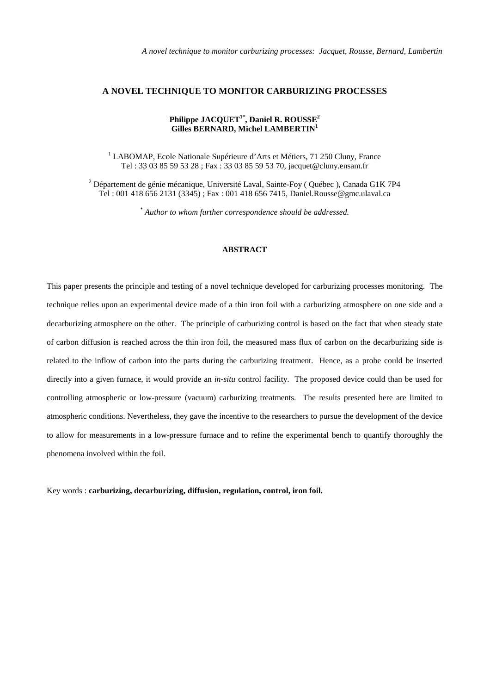# **A NOVEL TECHNIQUE TO MONITOR CARBURIZING PROCESSES**

# **Philippe JACQUET1\*, Daniel R. ROUSSE2 Gilles BERNARD, Michel LAMBERTIN1**

<sup>1</sup> LABOMAP, Ecole Nationale Supérieure d'Arts et Métiers, 71 250 Cluny, France Tel : 33 03 85 59 53 28 ; Fax : 33 03 85 59 53 70, jacquet@cluny.ensam.fr

<sup>2</sup> Département de génie mécanique, Université Laval, Sainte-Foy (Québec), Canada G1K 7P4 Tel : 001 418 656 2131 (3345) ; Fax : 001 418 656 7415, Daniel.Rousse@gmc.ulaval.ca

*\* Author to whom further correspondence should be addressed.*

### **ABSTRACT**

This paper presents the principle and testing of a novel technique developed for carburizing processes monitoring. The technique relies upon an experimental device made of a thin iron foil with a carburizing atmosphere on one side and a decarburizing atmosphere on the other. The principle of carburizing control is based on the fact that when steady state of carbon diffusion is reached across the thin iron foil, the measured mass flux of carbon on the decarburizing side is related to the inflow of carbon into the parts during the carburizing treatment. Hence, as a probe could be inserted directly into a given furnace, it would provide an *in-situ* control facility. The proposed device could than be used for controlling atmospheric or low-pressure (vacuum) carburizing treatments. The results presented here are limited to atmospheric conditions. Nevertheless, they gave the incentive to the researchers to pursue the development of the device to allow for measurements in a low-pressure furnace and to refine the experimental bench to quantify thoroughly the phenomena involved within the foil.

Key words : **carburizing, decarburizing, diffusion, regulation, control, iron foil.**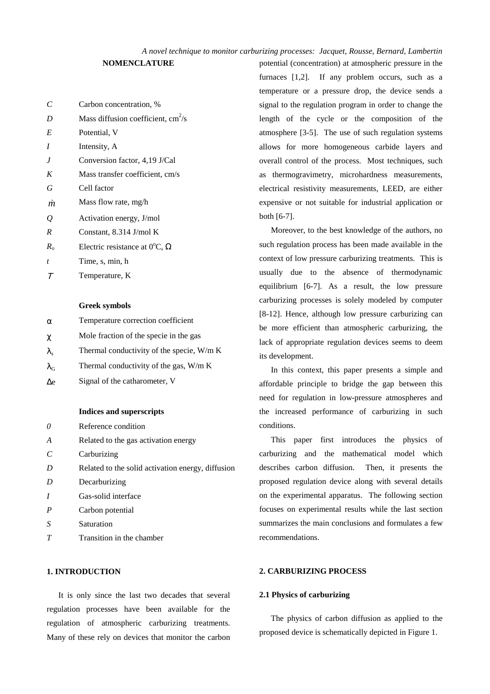*A novel technique to monitor carburizing processes: Jacquet, Rousse, Bernard, Lambertin*

#### **NOMENCLATURE**

| D  | Mass diffusion coefficient, $\text{cm}^2/\text{s}$ |
|----|----------------------------------------------------|
| E  | Potential, V                                       |
| I  | Intensity, A                                       |
| .1 | Conversion factor, 4,19 J/Cal                      |
| K  | Mass transfer coefficient, cm/s                    |
| G  | Cell factor                                        |
|    |                                                    |

*m* Mass flow rate, mg/h *Q* Activation energy, J/mol

*C* Carbon concentration, %

- *R* Constant, 8.314 J/mol K
- $R_o$  Electric resistance at 0<sup>o</sup>C,  $\Omega$
- *t* Time, s, min, h
- <sup>Τ</sup> Temperature, K

### **Greek symbols**

| $\alpha$          | Temperature correction coefficient        |
|-------------------|-------------------------------------------|
| χ                 | Mole fraction of the specie in the gas    |
| $\lambda_{\rm s}$ | Thermal conductivity of the specie, W/m K |
| $\lambda_{\rm G}$ | Thermal conductivity of the gas, $W/m K$  |
| Δe                | Signal of the catharometer, V             |

#### **Indices and superscripts**

- *0* Reference condition
- *A* Related to the gas activation energy
- *C* Carburizing
- *D* Related to the solid activation energy, diffusion
- *D* Decarburizing
- *I* Gas-solid interface
- *P* Carbon potential
- *S* Saturation
- *T* Transition in the chamber

# **1. INTRODUCTION**

It is only since the last two decades that several regulation processes have been available for the regulation of atmospheric carburizing treatments. Many of these rely on devices that monitor the carbon potential (concentration) at atmospheric pressure in the furnaces [1,2]. If any problem occurs, such as a temperature or a pressure drop, the device sends a signal to the regulation program in order to change the length of the cycle or the composition of the atmosphere [3-5]. The use of such regulation systems allows for more homogeneous carbide layers and overall control of the process. Most techniques, such as thermogravimetry, microhardness measurements, electrical resistivity measurements, LEED, are either expensive or not suitable for industrial application or both [6-7].

Moreover, to the best knowledge of the authors, no such regulation process has been made available in the context of low pressure carburizing treatments. This is usually due to the absence of thermodynamic equilibrium [6-7]. As a result, the low pressure carburizing processes is solely modeled by computer [8-12]. Hence, although low pressure carburizing can be more efficient than atmospheric carburizing, the lack of appropriate regulation devices seems to deem its development.

In this context, this paper presents a simple and affordable principle to bridge the gap between this need for regulation in low-pressure atmospheres and the increased performance of carburizing in such conditions.

This paper first introduces the physics of carburizing and the mathematical model which describes carbon diffusion. Then, it presents the proposed regulation device along with several details on the experimental apparatus. The following section focuses on experimental results while the last section summarizes the main conclusions and formulates a few recommendations.

### **2. CARBURIZING PROCESS**

#### **2.1 Physics of carburizing**

The physics of carbon diffusion as applied to the proposed device is schematically depicted in Figure 1.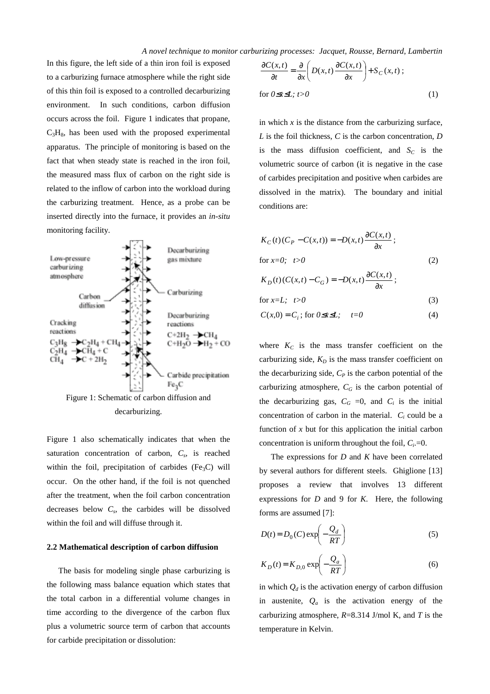In this figure, the left side of a thin iron foil is exposed to a carburizing furnace atmosphere while the right side of this thin foil is exposed to a controlled decarburizing environment. In such conditions, carbon diffusion occurs across the foil. Figure 1 indicates that propane,  $C<sub>3</sub>H<sub>8</sub>$ , has been used with the proposed experimental apparatus. The principle of monitoring is based on the fact that when steady state is reached in the iron foil, the measured mass flux of carbon on the right side is related to the inflow of carbon into the workload during the carburizing treatment. Hence, as a probe can be inserted directly into the furnace, it provides an *in-situ* monitoring facility.



decarburizing.

Figure 1 also schematically indicates that when the saturation concentration of carbon, *Cs*, is reached within the foil, precipitation of carbides (Fe<sub>3</sub>C) will occur. On the other hand, if the foil is not quenched after the treatment, when the foil carbon concentration decreases below  $C_s$ , the carbides will be dissolved within the foil and will diffuse through it.

## **2.2 Mathematical description of carbon diffusion**

The basis for modeling single phase carburizing is the following mass balance equation which states that the total carbon in a differential volume changes in time according to the divergence of the carbon flux plus a volumetric source term of carbon that accounts for carbide precipitation or dissolution:

$$
\frac{\partial C(x,t)}{\partial t} = \frac{\partial}{\partial x} \left( D(x,t) \frac{\partial C(x,t)}{\partial x} \right) + S_C(x,t) ;
$$
  
for  $0 \le x \le 1$ ;  $t > 0$  (1)

in which  $x$  is the distance from the carburizing surface, *L* is the foil thickness, *C* is the carbon concentration, *D* is the mass diffusion coefficient, and  $S_C$  is the volumetric source of carbon (it is negative in the case of carbides precipitation and positive when carbides are dissolved in the matrix). The boundary and initial conditions are:

$$
K_C(t)(C_P - C(x,t)) = -D(x,t)\frac{\partial C(x,t)}{\partial x};
$$
  
for  $x=0$ ;  $t>0$  (2)  

$$
K_D(t)(C(x,t) - C_G) = -D(x,t)\frac{\partial C(x,t)}{\partial x};
$$
  
for  $x=L$ ;  $t>0$  (3)  

$$
C(x,0) = C_i; \text{ for } 0 \le x \le L; \quad t=0
$$
 (4)

where  $K_C$  is the mass transfer coefficient on the carburizing side,  $K_D$  is the mass transfer coefficient on the decarburizing side,  $C_P$  is the carbon potential of the carburizing atmosphere,  $C_G$  is the carbon potential of the decarburizing gas,  $C_G = 0$ , and  $C_i$  is the initial concentration of carbon in the material.  $C_i$  could be a function of *x* but for this application the initial carbon concentration is uniform throughout the foil,  $C_i$ =0.

The expressions for *D* and *K* have been correlated by several authors for different steels. Ghiglione [13] proposes a review that involves 13 different expressions for *D* and 9 for *K*. Here, the following forms are assumed [7]:

$$
D(t) = D_0(C) \exp\left(-\frac{Q_d}{RT}\right) \tag{5}
$$

$$
K_D(t) = K_{D,0} \exp\left(-\frac{Q_a}{RT}\right) \tag{6}
$$

in which  $Q_d$  is the activation energy of carbon diffusion in austenite,  $Q_a$  is the activation energy of the carburizing atmosphere, *R*=8.314 J/mol K, and *T* is the temperature in Kelvin.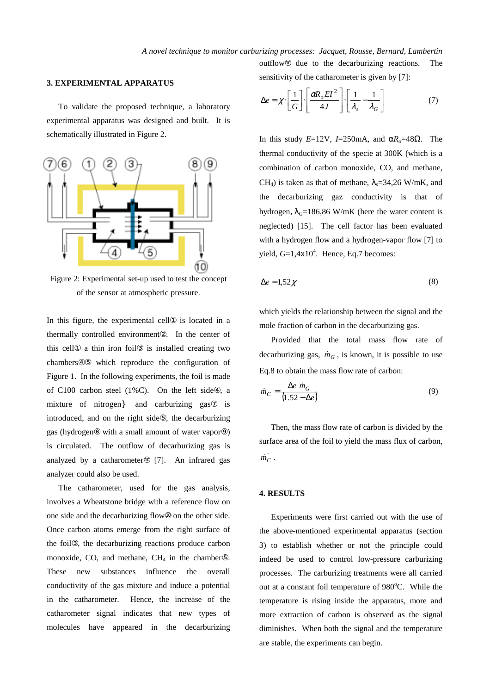### **3. EXPERIMENTAL APPARATUS**

To validate the proposed technique, a laboratory experimental apparatus was designed and built. It is schematically illustrated in Figure 2.



Figure 2: Experimental set-up used to test the concept of the sensor at atmospheric pressure.

In this figure, the experimental cell① is located in a thermally controlled environment②. In the center of this cell① a thin iron foil③ is installed creating two chambers④⑤ which reproduce the configuration of Figure 1. In the following experiments, the foil is made of C100 carbon steel (1%C). On the left side④, a mixture of nitrogen and carburizing gas $\circ$  is introduced, and on the right side⑤, the decarburizing gas (hydrogen⑧ with a small amount of water vapor⑨) is circulated. The outflow of decarburizing gas is analyzed by a catharometer<sup>®</sup> [7]. An infrared gas analyzer could also be used.

The catharometer, used for the gas analysis, involves a Wheatstone bridge with a reference flow on one side and the decarburizing flow⑩ on the other side. Once carbon atoms emerge from the right surface of the foil③, the decarburizing reactions produce carbon monoxide, CO, and methane,  $CH<sub>4</sub>$  in the chamber<sup>®</sup>. These new substances influence the overall conductivity of the gas mixture and induce a potential in the catharometer. Hence, the increase of the catharometer signal indicates that new types of molecules have appeared in the decarburizing

sensitivity of the catharometer is given by [7]:

$$
\Delta e = \chi \cdot \left[\frac{1}{G}\right] \cdot \left[\frac{\alpha R_o E I^2}{4J}\right] \cdot \left[\frac{1}{\lambda_s} - \frac{1}{\lambda_G}\right]
$$
(7)

outflow⑩ due to the decarburizing reactions. The

In this study  $E=12V$ ,  $I=250$ mA, and α $R_0=48Ω$ . The thermal conductivity of the specie at 300K (which is a combination of carbon monoxide, CO, and methane, CH<sub>4</sub>) is taken as that of methane,  $\lambda$ <sub>s</sub>=34,26 W/mK, and the decarburizing gaz conductivity is that of hydrogen,  $\lambda$ <sub>G</sub>=186,86 W/mK (here the water content is neglected) [15]. The cell factor has been evaluated with a hydrogen flow and a hydrogen-vapor flow [7] to yield,  $G=1,4\times10^4$ . Hence, Eq.7 becomes:

$$
\Delta e = 1.52 \chi \tag{8}
$$

which yields the relationship between the signal and the mole fraction of carbon in the decarburizing gas.

Provided that the total mass flow rate of decarburizing gas,  $\dot{m}_G$ , is known, it is possible to use Eq.8 to obtain the mass flow rate of carbon:

$$
\dot{m}_C = \frac{\Delta e \ \dot{m}_G}{(1.52 - \Delta e)}\tag{9}
$$

Then, the mass flow rate of carbon is divided by the surface area of the foil to yield the mass flux of carbon,  $\dot{m}_C$ .

# **4. RESULTS**

Experiments were first carried out with the use of the above-mentioned experimental apparatus (section 3) to establish whether or not the principle could indeed be used to control low-pressure carburizing processes. The carburizing treatments were all carried out at a constant foil temperature of 980°C. While the temperature is rising inside the apparatus, more and more extraction of carbon is observed as the signal diminishes. When both the signal and the temperature are stable, the experiments can begin.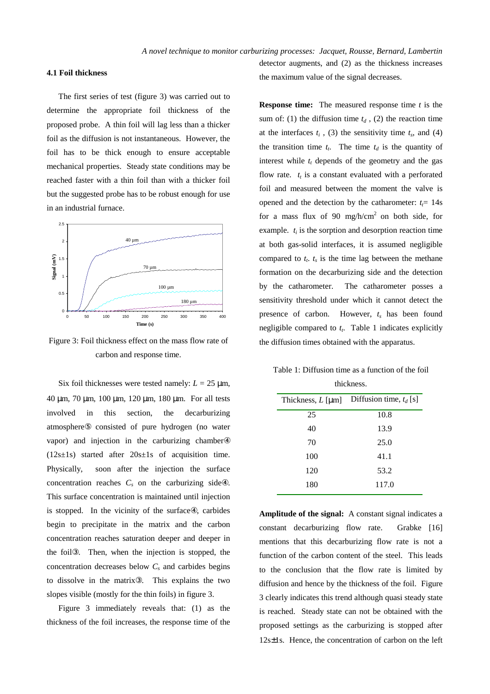#### **4.1 Foil thickness**

The first series of test (figure 3) was carried out to determine the appropriate foil thickness of the proposed probe. A thin foil will lag less than a thicker foil as the diffusion is not instantaneous. However, the foil has to be thick enough to ensure acceptable mechanical properties. Steady state conditions may be reached faster with a thin foil than with a thicker foil but the suggested probe has to be robust enough for use in an industrial furnace.



Figure 3: Foil thickness effect on the mass flow rate of carbon and response time.

Six foil thicknesses were tested namely:  $L = 25 \mu m$ , 40 µm, 70 µm, 100 µm, 120 µm, 180 µm. For all tests involved in this section, the decarburizing atmosphere⑤ consisted of pure hydrogen (no water vapor) and injection in the carburizing chamber  $(12s±1s)$  started after  $20s±1s$  of acquisition time. Physically, soon after the injection the surface concentration reaches  $C_s$  on the carburizing side $\circledA$ . This surface concentration is maintained until injection is stopped. In the vicinity of the surface④, carbides begin to precipitate in the matrix and the carbon concentration reaches saturation deeper and deeper in the foil③. Then, when the injection is stopped, the concentration decreases below  $C_s$  and carbides begins to dissolve in the matrix③. This explains the two slopes visible (mostly for the thin foils) in figure 3.

Figure 3 immediately reveals that: (1) as the thickness of the foil increases, the response time of the detector augments, and (2) as the thickness increases the maximum value of the signal decreases.

**Response time:** The measured response time *t* is the sum of: (1) the diffusion time  $t_d$ , (2) the reaction time at the interfaces  $t_i$ , (3) the sensitivity time  $t_s$ , and (4) the transition time  $t_t$ . The time  $t_d$  is the quantity of interest while  $t_t$  depends of the geometry and the gas flow rate.  $t_t$  is a constant evaluated with a perforated foil and measured between the moment the valve is opened and the detection by the catharometer:  $t_f$  = 14s for a mass flux of 90 mg/h/cm<sup>2</sup> on both side, for example.  $t_i$  is the sorption and desorption reaction time at both gas-solid interfaces, it is assumed negligible compared to  $t_t$ .  $t_s$  is the time lag between the methane formation on the decarburizing side and the detection by the catharometer. The catharometer posses a sensitivity threshold under which it cannot detect the presence of carbon. However,  $t_s$  has been found negligible compared to  $t_t$ . Table 1 indicates explicitly the diffusion times obtained with the apparatus.

Table 1: Diffusion time as a function of the foil thickness.

| Thickness, $L$ [ $\mu$ m] | Diffusion time, $t_d$ [s] |
|---------------------------|---------------------------|
| 25                        | 10.8                      |
| 40                        | 13.9                      |
| 70                        | 25.0                      |
| 100                       | 41.1                      |
| 120                       | 53.2                      |
| 180                       | 117.0                     |
|                           |                           |

**Amplitude of the signal:** A constant signal indicates a constant decarburizing flow rate. Grabke [16] mentions that this decarburizing flow rate is not a function of the carbon content of the steel. This leads to the conclusion that the flow rate is limited by diffusion and hence by the thickness of the foil. Figure 3 clearly indicates this trend although quasi steady state is reached. Steady state can not be obtained with the proposed settings as the carburizing is stopped after 12s±1s. Hence, the concentration of carbon on the left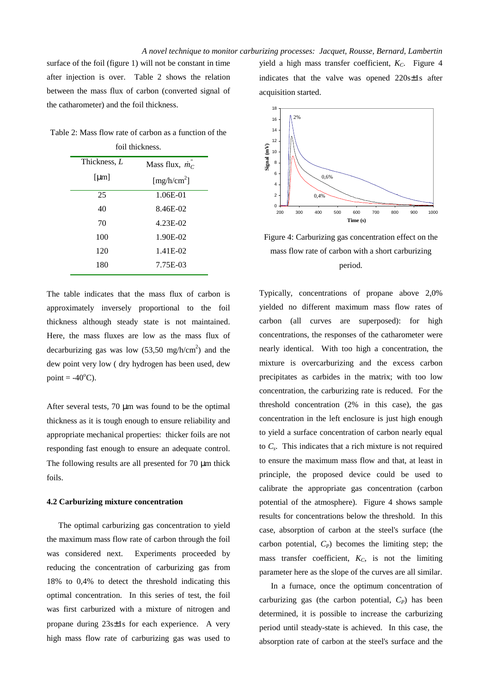surface of the foil (figure 1) will not be constant in time after injection is over. Table 2 shows the relation between the mass flux of carbon (converted signal of the catharometer) and the foil thickness.

| Table 2: Mass flow rate of carbon as a function of the |  |                 |  |  |
|--------------------------------------------------------|--|-----------------|--|--|
|                                                        |  | foil thickness. |  |  |

| Thickness, L | Mass flux, $\dot{m}_c$  |
|--------------|-------------------------|
| [ $\mu$ m]   | [mg/h/cm <sup>2</sup> ] |
| 25           | 1.06E-01                |
| 40           | 8.46E-02                |
| 70           | 4.23E-02                |
| 100          | 1.90E-02                |
| 120          | 1.41E-02                |
| 180          | 7.75E-03                |
|              |                         |

The table indicates that the mass flux of carbon is approximately inversely proportional to the foil thickness although steady state is not maintained. Here, the mass fluxes are low as the mass flux of decarburizing gas was low  $(53,50 \text{ mg/h/cm}^2)$  and the dew point very low ( dry hydrogen has been used, dew point =  $-40^{\circ}$ C).

After several tests, 70  $\mu$ m was found to be the optimal thickness as it is tough enough to ensure reliability and appropriate mechanical properties: thicker foils are not responding fast enough to ensure an adequate control. The following results are all presented for 70  $\mu$ m thick foils.

# **4.2 Carburizing mixture concentration**

The optimal carburizing gas concentration to yield the maximum mass flow rate of carbon through the foil was considered next. Experiments proceeded by reducing the concentration of carburizing gas from 18% to 0,4% to detect the threshold indicating this optimal concentration. In this series of test, the foil was first carburized with a mixture of nitrogen and propane during 23s±1s for each experience. A very high mass flow rate of carburizing gas was used to

yield a high mass transfer coefficient,  $K_C$ . Figure 4 indicates that the valve was opened 220s±1s after acquisition started.



Figure 4: Carburizing gas concentration effect on the mass flow rate of carbon with a short carburizing period.

Typically, concentrations of propane above 2,0% yielded no different maximum mass flow rates of carbon (all curves are superposed): for high concentrations, the responses of the catharometer were nearly identical. With too high a concentration, the mixture is overcarburizing and the excess carbon precipitates as carbides in the matrix; with too low concentration, the carburizing rate is reduced. For the threshold concentration (2% in this case), the gas concentration in the left enclosure is just high enough to yield a surface concentration of carbon nearly equal to *Cs*. This indicates that a rich mixture is not required to ensure the maximum mass flow and that, at least in principle, the proposed device could be used to calibrate the appropriate gas concentration (carbon potential of the atmosphere). Figure 4 shows sample results for concentrations below the threshold. In this case, absorption of carbon at the steel's surface (the carbon potential,  $C_P$ ) becomes the limiting step; the mass transfer coefficient,  $K_C$ , is not the limiting parameter here as the slope of the curves are all similar.

In a furnace, once the optimum concentration of carburizing gas (the carbon potential,  $C_P$ ) has been determined, it is possible to increase the carburizing period until steady-state is achieved. In this case, the absorption rate of carbon at the steel's surface and the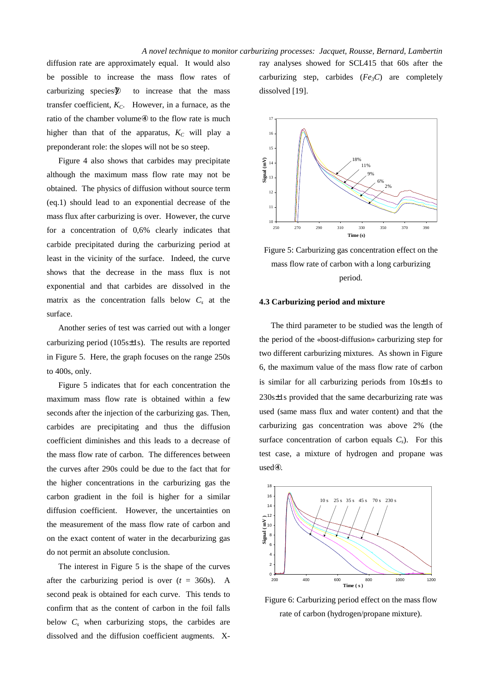diffusion rate are approximately equal. It would also be possible to increase the mass flow rates of carburizing species  $\circled{2}$  to increase that the mass transfer coefficient,  $K_C$ . However, in a furnace, as the ratio of the chamber volume④ to the flow rate is much higher than that of the apparatus,  $K_C$  will play a preponderant role: the slopes will not be so steep.

Figure 4 also shows that carbides may precipitate although the maximum mass flow rate may not be obtained. The physics of diffusion without source term (eq.1) should lead to an exponential decrease of the mass flux after carburizing is over. However, the curve for a concentration of 0,6% clearly indicates that carbide precipitated during the carburizing period at least in the vicinity of the surface. Indeed, the curve shows that the decrease in the mass flux is not exponential and that carbides are dissolved in the matrix as the concentration falls below  $C_s$  at the surface.

Another series of test was carried out with a longer carburizing period (105s±1s). The results are reported in Figure 5. Here, the graph focuses on the range 250s to 400s, only.

Figure 5 indicates that for each concentration the maximum mass flow rate is obtained within a few seconds after the injection of the carburizing gas. Then, carbides are precipitating and thus the diffusion coefficient diminishes and this leads to a decrease of the mass flow rate of carbon. The differences between the curves after 290s could be due to the fact that for the higher concentrations in the carburizing gas the carbon gradient in the foil is higher for a similar diffusion coefficient. However, the uncertainties on the measurement of the mass flow rate of carbon and on the exact content of water in the decarburizing gas do not permit an absolute conclusion.

The interest in Figure 5 is the shape of the curves after the carburizing period is over  $(t = 360s)$ . A second peak is obtained for each curve. This tends to confirm that as the content of carbon in the foil falls below  $C_s$  when carburizing stops, the carbides are dissolved and the diffusion coefficient augments. X- ray analyses showed for SCL415 that 60s after the carburizing step, carbides (*Fe3C*) are completely dissolved [19].



Figure 5: Carburizing gas concentration effect on the mass flow rate of carbon with a long carburizing period.

#### **4.3 Carburizing period and mixture**

The third parameter to be studied was the length of the period of the «boost-diffusion» carburizing step for two different carburizing mixtures. As shown in Figure 6, the maximum value of the mass flow rate of carbon is similar for all carburizing periods from 10s±1s to 230s±1s provided that the same decarburizing rate was used (same mass flux and water content) and that the carburizing gas concentration was above 2% (the surface concentration of carbon equals  $C_s$ ). For this test case, a mixture of hydrogen and propane was used④.



Figure 6: Carburizing period effect on the mass flow rate of carbon (hydrogen/propane mixture).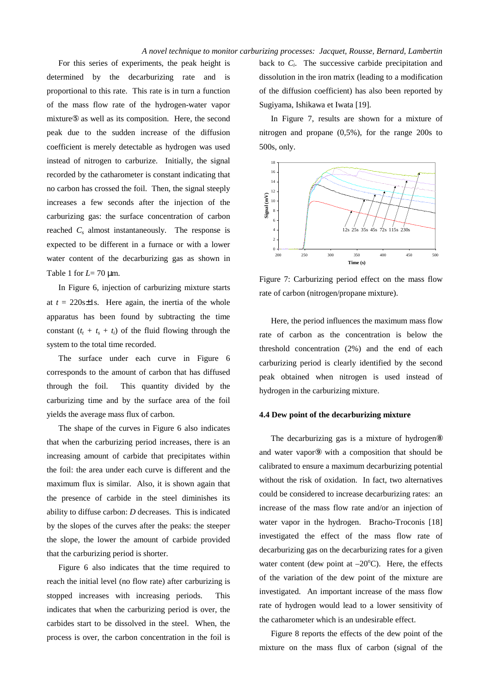For this series of experiments, the peak height is determined by the decarburizing rate and is proportional to this rate. This rate is in turn a function of the mass flow rate of the hydrogen-water vapor mixture⑤ as well as its composition. Here, the second peak due to the sudden increase of the diffusion coefficient is merely detectable as hydrogen was used instead of nitrogen to carburize. Initially, the signal recorded by the catharometer is constant indicating that no carbon has crossed the foil. Then, the signal steeply increases a few seconds after the injection of the carburizing gas: the surface concentration of carbon reached  $C_s$  almost instantaneously. The response is expected to be different in a furnace or with a lower water content of the decarburizing gas as shown in Table 1 for *L*= 70 µm.

In Figure 6, injection of carburizing mixture starts at  $t = 220s \pm 1$ s. Here again, the inertia of the whole apparatus has been found by subtracting the time constant  $(t_t + t_s + t_i)$  of the fluid flowing through the system to the total time recorded.

The surface under each curve in Figure 6 corresponds to the amount of carbon that has diffused through the foil. This quantity divided by the carburizing time and by the surface area of the foil yields the average mass flux of carbon.

The shape of the curves in Figure 6 also indicates that when the carburizing period increases, there is an increasing amount of carbide that precipitates within the foil: the area under each curve is different and the maximum flux is similar. Also, it is shown again that the presence of carbide in the steel diminishes its ability to diffuse carbon: *D* decreases. This is indicated by the slopes of the curves after the peaks: the steeper the slope, the lower the amount of carbide provided that the carburizing period is shorter.

Figure 6 also indicates that the time required to reach the initial level (no flow rate) after carburizing is stopped increases with increasing periods. This indicates that when the carburizing period is over, the carbides start to be dissolved in the steel. When, the process is over, the carbon concentration in the foil is back to  $C_i$ . The successive carbide precipitation and dissolution in the iron matrix (leading to a modification of the diffusion coefficient) has also been reported by Sugiyama, Ishikawa et Iwata [19].

In Figure 7, results are shown for a mixture of nitrogen and propane (0,5%), for the range 200s to 500s, only.



Figure 7: Carburizing period effect on the mass flow rate of carbon (nitrogen/propane mixture).

Here, the period influences the maximum mass flow rate of carbon as the concentration is below the threshold concentration (2%) and the end of each carburizing period is clearly identified by the second peak obtained when nitrogen is used instead of hydrogen in the carburizing mixture.

### **4.4 Dew point of the decarburizing mixture**

The decarburizing gas is a mixture of hydrogen<sup>®</sup> and water vapor⑨ with a composition that should be calibrated to ensure a maximum decarburizing potential without the risk of oxidation. In fact, two alternatives could be considered to increase decarburizing rates: an increase of the mass flow rate and/or an injection of water vapor in the hydrogen. Bracho-Troconis [18] investigated the effect of the mass flow rate of decarburizing gas on the decarburizing rates for a given water content (dew point at  $-20^{\circ}$ C). Here, the effects of the variation of the dew point of the mixture are investigated. An important increase of the mass flow rate of hydrogen would lead to a lower sensitivity of the catharometer which is an undesirable effect.

Figure 8 reports the effects of the dew point of the mixture on the mass flux of carbon (signal of the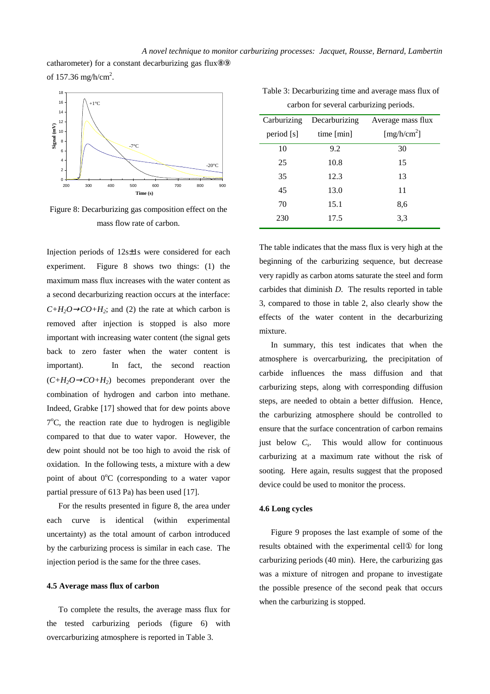catharometer) for a constant decarburizing gas flux<sup>®</sup><sup>®</sup> of  $157.36 \text{ mg/h/cm}^2$ .



Figure 8: Decarburizing gas composition effect on the mass flow rate of carbon.

Injection periods of 12s±1s were considered for each experiment. Figure 8 shows two things: (1) the maximum mass flux increases with the water content as a second decarburizing reaction occurs at the interface:  $C+H_2O \rightarrow CO+H_2$ ; and (2) the rate at which carbon is removed after injection is stopped is also more important with increasing water content (the signal gets back to zero faster when the water content is important). In fact, the second reaction  $(C+H_2O \rightarrow CO+H_2)$  becomes preponderant over the combination of hydrogen and carbon into methane. Indeed, Grabke [17] showed that for dew points above 7°C, the reaction rate due to hydrogen is negligible compared to that due to water vapor. However, the dew point should not be too high to avoid the risk of oxidation. In the following tests, a mixture with a dew point of about  $0^{\circ}$ C (corresponding to a water vapor partial pressure of 613 Pa) has been used [17].

For the results presented in figure 8, the area under each curve is identical (within experimental uncertainty) as the total amount of carbon introduced by the carburizing process is similar in each case. The injection period is the same for the three cases.

## **4.5 Average mass flux of carbon**

To complete the results, the average mass flux for the tested carburizing periods (figure 6) with overcarburizing atmosphere is reported in Table 3.

| Carburizing | Decarburizing | Average mass flux       |
|-------------|---------------|-------------------------|
| period [s]  | time [min]    | [mg/h/cm <sup>2</sup> ] |
| 10          | 9.2           | 30                      |
| 25          | 10.8          | 15                      |
| 35          | 12.3          | 13                      |
| 45          | 13.0          | 11                      |
| 70          | 15.1          | 8,6                     |
| 230         | 17.5          | 3,3                     |
|             |               |                         |

Table 3: Decarburizing time and average mass flux of carbon for several carburizing periods.

The table indicates that the mass flux is very high at the beginning of the carburizing sequence, but decrease very rapidly as carbon atoms saturate the steel and form carbides that diminish *D*. The results reported in table 3, compared to those in table 2, also clearly show the effects of the water content in the decarburizing mixture.

In summary, this test indicates that when the atmosphere is overcarburizing, the precipitation of carbide influences the mass diffusion and that carburizing steps, along with corresponding diffusion steps, are needed to obtain a better diffusion. Hence, the carburizing atmosphere should be controlled to ensure that the surface concentration of carbon remains just below *Cs*. This would allow for continuous carburizing at a maximum rate without the risk of sooting. Here again, results suggest that the proposed device could be used to monitor the process.

## **4.6 Long cycles**

Figure 9 proposes the last example of some of the results obtained with the experimental cell① for long carburizing periods (40 min). Here, the carburizing gas was a mixture of nitrogen and propane to investigate the possible presence of the second peak that occurs when the carburizing is stopped.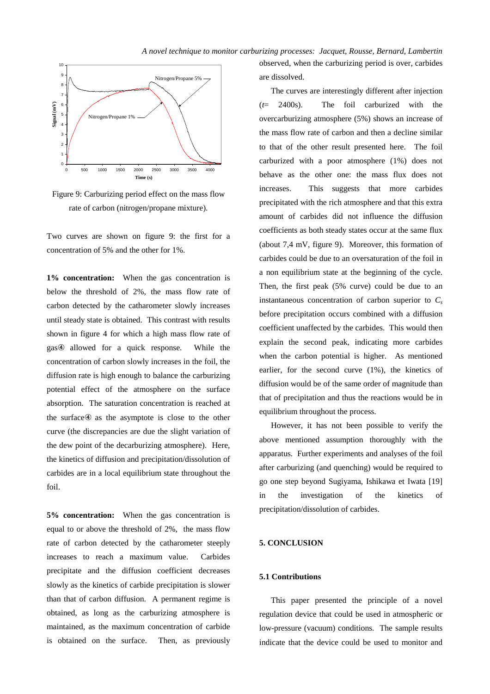

Figure 9: Carburizing period effect on the mass flow rate of carbon (nitrogen/propane mixture).

Two curves are shown on figure 9: the first for a concentration of 5% and the other for 1%.

**1% concentration:** When the gas concentration is below the threshold of 2%, the mass flow rate of carbon detected by the catharometer slowly increases until steady state is obtained. This contrast with results shown in figure 4 for which a high mass flow rate of gas④ allowed for a quick response. While the concentration of carbon slowly increases in the foil, the diffusion rate is high enough to balance the carburizing potential effect of the atmosphere on the surface absorption. The saturation concentration is reached at the surface④ as the asymptote is close to the other curve (the discrepancies are due the slight variation of the dew point of the decarburizing atmosphere). Here, the kinetics of diffusion and precipitation/dissolution of carbides are in a local equilibrium state throughout the foil.

**5% concentration:** When the gas concentration is equal to or above the threshold of 2%, the mass flow rate of carbon detected by the catharometer steeply increases to reach a maximum value. Carbides precipitate and the diffusion coefficient decreases slowly as the kinetics of carbide precipitation is slower than that of carbon diffusion. A permanent regime is obtained, as long as the carburizing atmosphere is maintained, as the maximum concentration of carbide is obtained on the surface. Then, as previously

observed, when the carburizing period is over, carbides are dissolved.

The curves are interestingly different after injection (*t*= 2400s). The foil carburized with the overcarburizing atmosphere (5%) shows an increase of the mass flow rate of carbon and then a decline similar to that of the other result presented here. The foil carburized with a poor atmosphere (1%) does not behave as the other one: the mass flux does not increases. This suggests that more carbides precipitated with the rich atmosphere and that this extra amount of carbides did not influence the diffusion coefficients as both steady states occur at the same flux (about 7,4 mV, figure 9). Moreover, this formation of carbides could be due to an oversaturation of the foil in a non equilibrium state at the beginning of the cycle. Then, the first peak (5% curve) could be due to an instantaneous concentration of carbon superior to  $C_s$ before precipitation occurs combined with a diffusion coefficient unaffected by the carbides. This would then explain the second peak, indicating more carbides when the carbon potential is higher. As mentioned earlier, for the second curve (1%), the kinetics of diffusion would be of the same order of magnitude than that of precipitation and thus the reactions would be in equilibrium throughout the process.

However, it has not been possible to verify the above mentioned assumption thoroughly with the apparatus. Further experiments and analyses of the foil after carburizing (and quenching) would be required to go one step beyond Sugiyama, Ishikawa et Iwata [19] in the investigation of the kinetics of precipitation/dissolution of carbides.

#### **5. CONCLUSION**

# **5.1 Contributions**

This paper presented the principle of a novel regulation device that could be used in atmospheric or low-pressure (vacuum) conditions. The sample results indicate that the device could be used to monitor and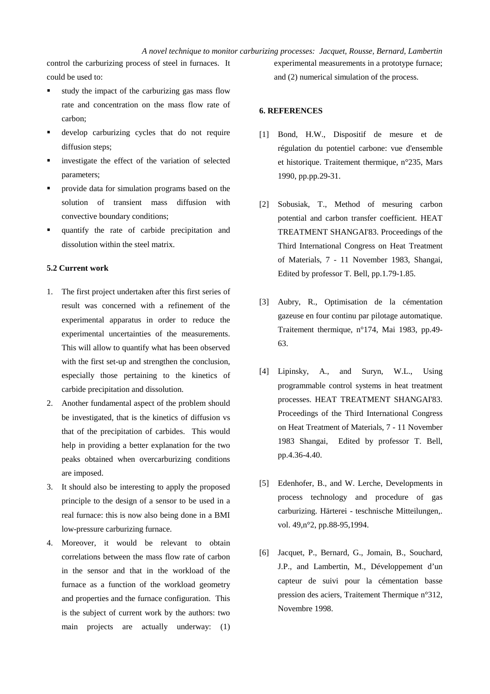control the carburizing process of steel in furnaces. It could be used to:

- study the impact of the carburizing gas mass flow rate and concentration on the mass flow rate of carbon;
- develop carburizing cycles that do not require diffusion steps;
- investigate the effect of the variation of selected parameters;
- provide data for simulation programs based on the solution of transient mass diffusion with convective boundary conditions;
- quantify the rate of carbide precipitation and dissolution within the steel matrix.

# **5.2 Current work**

- 1. The first project undertaken after this first series of result was concerned with a refinement of the experimental apparatus in order to reduce the experimental uncertainties of the measurements. This will allow to quantify what has been observed with the first set-up and strengthen the conclusion, especially those pertaining to the kinetics of carbide precipitation and dissolution.
- 2. Another fundamental aspect of the problem should be investigated, that is the kinetics of diffusion vs that of the precipitation of carbides. This would help in providing a better explanation for the two peaks obtained when overcarburizing conditions are imposed.
- 3. It should also be interesting to apply the proposed principle to the design of a sensor to be used in a real furnace: this is now also being done in a BMI low-pressure carburizing furnace.
- 4. Moreover, it would be relevant to obtain correlations between the mass flow rate of carbon in the sensor and that in the workload of the furnace as a function of the workload geometry and properties and the furnace configuration. This is the subject of current work by the authors: two main projects are actually underway: (1)

experimental measurements in a prototype furnace; and (2) numerical simulation of the process.

### **6. REFERENCES**

- [1] Bond, H.W., Dispositif de mesure et de régulation du potentiel carbone: vue d'ensemble et historique. Traitement thermique, n°235, Mars 1990, pp.pp.29-31.
- [2] Sobusiak, T., Method of mesuring carbon potential and carbon transfer coefficient. HEAT TREATMENT SHANGAI'83. Proceedings of the Third International Congress on Heat Treatment of Materials, 7 - 11 November 1983, Shangai, Edited by professor T. Bell, pp.1.79-1.85.
- [3] Aubry, R., Optimisation de la cémentation gazeuse en four continu par pilotage automatique. Traitement thermique, n°174, Mai 1983, pp.49- 63.
- [4] Lipinsky, A., and Suryn, W.L., Using programmable control systems in heat treatment processes. HEAT TREATMENT SHANGAI'83. Proceedings of the Third International Congress on Heat Treatment of Materials, 7 - 11 November 1983 Shangai, Edited by professor T. Bell, pp.4.36-4.40.
- [5] Edenhofer, B., and W. Lerche, Developments in process technology and procedure of gas carburizing. Härterei - teschnische Mitteilungen,. vol. 49,n°2, pp.88-95,1994.
- [6] Jacquet, P., Bernard, G., Jomain, B., Souchard, J.P., and Lambertin, M., Développement d'un capteur de suivi pour la cémentation basse pression des aciers, Traitement Thermique n°312, Novembre 1998.